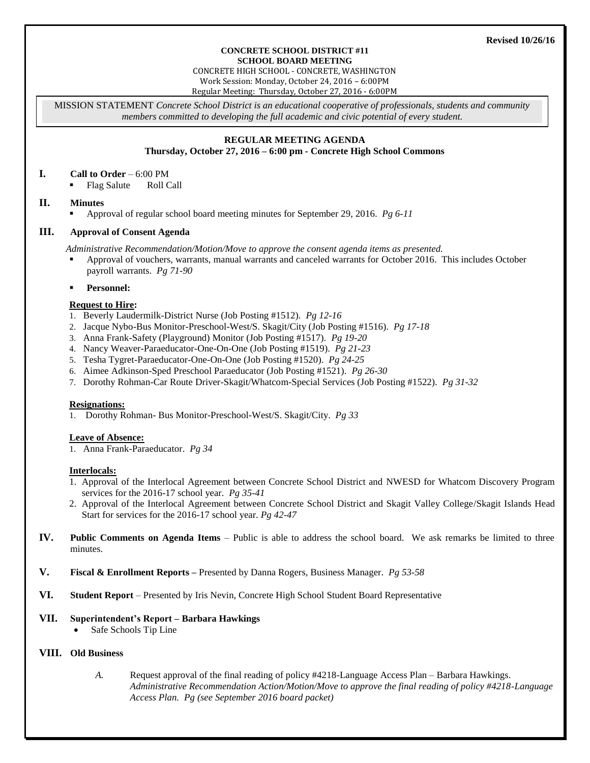#### **CONCRETE SCHOOL DISTRICT #11 SCHOOL BOARD MEETING**

CONCRETE HIGH SCHOOL - CONCRETE, WASHINGTON Work Session: Monday, October 24, 2016 – 6:00PM

Regular Meeting: Thursday, October 27, 2016 - 6:00PM

MISSION STATEMENT *Concrete School District is an educational cooperative of professionals, students and community members committed to developing the full academic and civic potential of every student.*

# **REGULAR MEETING AGENDA**

**Thursday, October 27, 2016 – 6:00 pm - Concrete High School Commons**

#### **I. Call to Order** – 6:00 PM

Flag Salute Roll Call

# **II. Minutes**

Approval of regular school board meeting minutes for September 29, 2016. *Pg 6-11*

# **III. Approval of Consent Agenda**

*Administrative Recommendation/Motion/Move to approve the consent agenda items as presented.*

- Approval of vouchers, warrants, manual warrants and canceled warrants for October 2016. This includes October payroll warrants. *Pg 71-90*
- **Personnel:**

#### **Request to Hire:**

- 1. Beverly Laudermilk-District Nurse (Job Posting #1512). *Pg 12-16*
- 2. Jacque Nybo-Bus Monitor-Preschool-West/S. Skagit/City (Job Posting #1516). *Pg 17-18*
- 3. Anna Frank-Safety (Playground) Monitor (Job Posting #1517). *Pg 19-20*
- 4. Nancy Weaver-Paraeducator-One-On-One (Job Posting #1519). *Pg 21-23*
- 5. Tesha Tygret-Paraeducator-One-On-One (Job Posting #1520). *Pg 24-25*
- 6. Aimee Adkinson-Sped Preschool Paraeducator (Job Posting #1521). *Pg 26-30*
- 7. Dorothy Rohman-Car Route Driver-Skagit/Whatcom-Special Services (Job Posting #1522). *Pg 31-32*

#### **Resignations:**

1. Dorothy Rohman- Bus Monitor-Preschool-West/S. Skagit/City. *Pg 33*

# **Leave of Absence:**

1. Anna Frank-Paraeducator. *Pg 34*

#### **Interlocals:**

- 1. Approval of the Interlocal Agreement between Concrete School District and NWESD for Whatcom Discovery Program services for the 2016-17 school year. *Pg 35-41*
- 2. Approval of the Interlocal Agreement between Concrete School District and Skagit Valley College/Skagit Islands Head Start for services for the 2016-17 school year. *Pg 42-47*
- **IV. Public Comments on Agenda Items** Public is able to address the school board. We ask remarks be limited to three minutes.
- **V. Fiscal & Enrollment Reports –** Presented by Danna Rogers, Business Manager. *Pg 53-58*
- **VI. Student Report** Presented by Iris Nevin, Concrete High School Student Board Representative

# **VII. Superintendent's Report – Barbara Hawkings**

Safe Schools Tip Line

# **VIII. Old Business**

*A.* Request approval of the final reading of policy #4218-Language Access Plan – Barbara Hawkings. *Administrative Recommendation Action/Motion/Move to approve the final reading of policy #4218-Language Access Plan. Pg (see September 2016 board packet)*